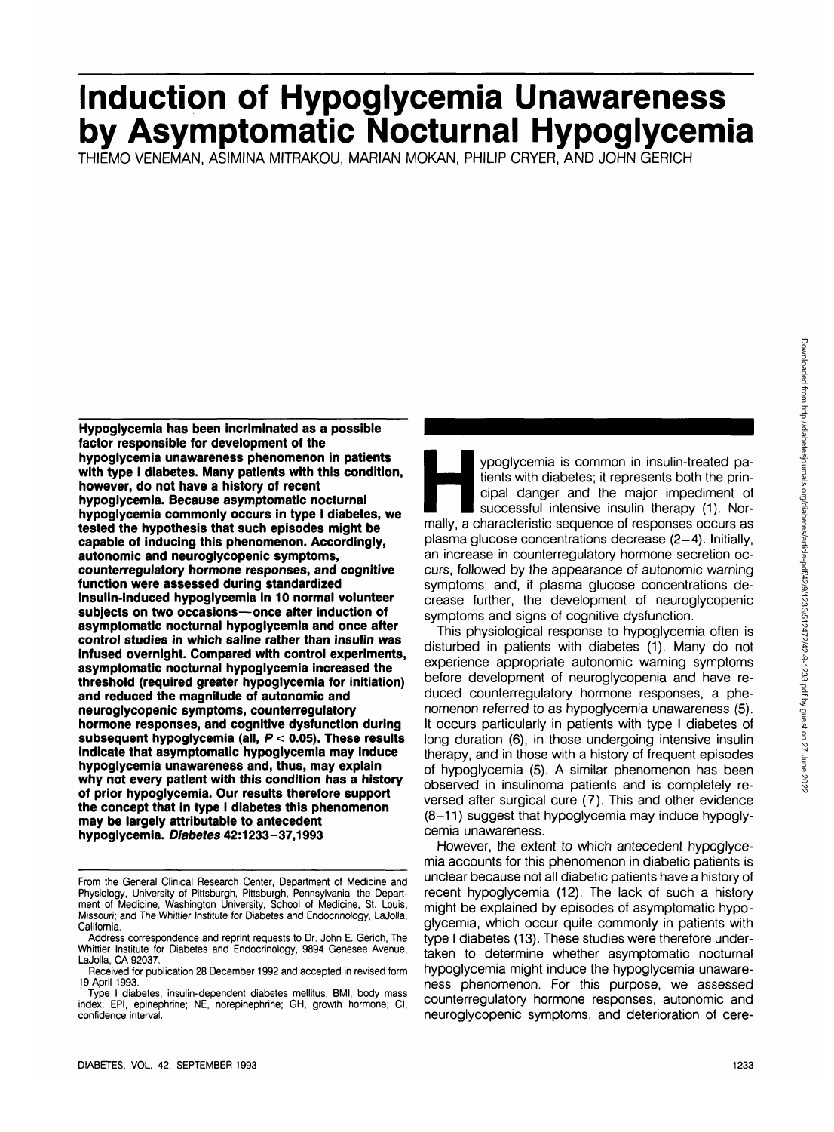# **Induction of Hypoglycemia Unawareness by Asymptomatic Nocturnal Hypoglycemia**

THIEMO VENEMAN, ASIMINA MITRAKOU, MARIAN MOKAN, PHILIP CRYER, AND JOHN GERICH

**Hypoglycemia has been incriminated as a possible factor responsible for development of the hypoglycemia unawareness phenomenon in patients with type I diabetes. Many patients with this condition, however, do not have a history of recent hypoglycemia. Because asymptomatic nocturnal hypoglycemia commonly occurs in type I diabetes, we tested the hypothesis that such episodes might be capable of inducing this phenomenon. Accordingly, autonomic and neuroglycopenic symptoms, counterregulatory hormone responses, and cognitive function were assessed during standardized Insulin-induced hypoglycemia in 10 normal volunteer subjects on two occasions—once after induction of asymptomatic nocturnal hypoglycemia and once after control studies in which saline rather than insulin was infused overnight. Compared with control experiments, asymptomatic nocturnal hypoglycemia increased the threshold (required greater hypoglycemia for initiation) and reduced the magnitude of autonomic and neuroglycopenic symptoms, counterregulatory hormone responses, and cognitive dysfunction during subsequent hypoglycemia (all, P < 0.05). These results indicate that asymptomatic hypoglycemia may induce hypoglycemia unawareness and, thus, may explain why not every patient with this condition has a history of prior hypoglycemia. Our results therefore support the concept that in type I diabetes this phenomenon may be largely attributable to antecedent hypoglycemia. Diabetes 42:1233-37,1993**

ypoglycemia is common in insulin-treated pa-<br>tients with diabetes; it represents both the prin-<br>cipal danger and the major impediment of<br>successful intensive insulin therapy (1). Nor-<br>mally, a characteristic sequence of re tients with diabetes; it represents both the principal danger and the major impediment of successful intensive insulin therapy (1). Norplasma glucose concentrations decrease (2-4). Initially, an increase in counterregulatory hormone secretion occurs, followed by the appearance of autonomic warning symptoms; and, if plasma glucose concentrations decrease further, the development of neuroglycopenic symptoms and signs of cognitive dysfunction.

This physiological response to hypoglycemia often is disturbed in patients with diabetes (1). Many do not experience appropriate autonomic warning symptoms before development of neuroglycopenia and have reduced counterregulatory hormone responses, a phenomenon referred to as hypoglycemia unawareness (5). It occurs particularly in patients with type I diabetes of long duration (6), in those undergoing intensive insulin therapy, and in those with a history of frequent episodes of hypoglycemia (5). A similar phenomenon has been observed in insulinoma patients and is completely reversed after surgical cure (7). This and other evidence (8-11) suggest that hypoglycemia may induce hypoglycemia unawareness.

However, the extent to which antecedent hypoglycemia accounts for this phenomenon in diabetic patients is unclear because not all diabetic patients have a history of recent hypoglycemia (12). The lack of such a history might be explained by episodes of asymptomatic hypoglycemia, which occur quite commonly in patients with type I diabetes (13). These studies were therefore undertaken to determine whether asymptomatic nocturnal hypoglycemia might induce the hypoglycemia unawareness phenomenon. For this purpose, we assessed counterregulatory hormone responses, autonomic and neuroglycopenic symptoms, and deterioration of cere-

From the General Clinical Research Center, Department of Medicine and Physiology, University of Pittsburgh, Pittsburgh, Pennsylvania; the Department of Medicine, Washington University, School of Medicine, St. Louis, Missouri; and The Whittier Institute for Diabetes and Endocrinology, LaJolla, California.

Address correspondence and reprint requests to Dr. John E. Gerich, The Whittier Institute for Diabetes and Endocrinology, 9894 Genesee Avenue, LaJolla, CA 92037.

Received for publication 28 December 1992 and accepted in revised form 19 April 1993.

Type I diabetes, insulin-dependent diabetes mellitus; BMI, body mass index; EPI, epinephrine; NE, norepinephrine; GH, growth hormone; Cl, confidence interval.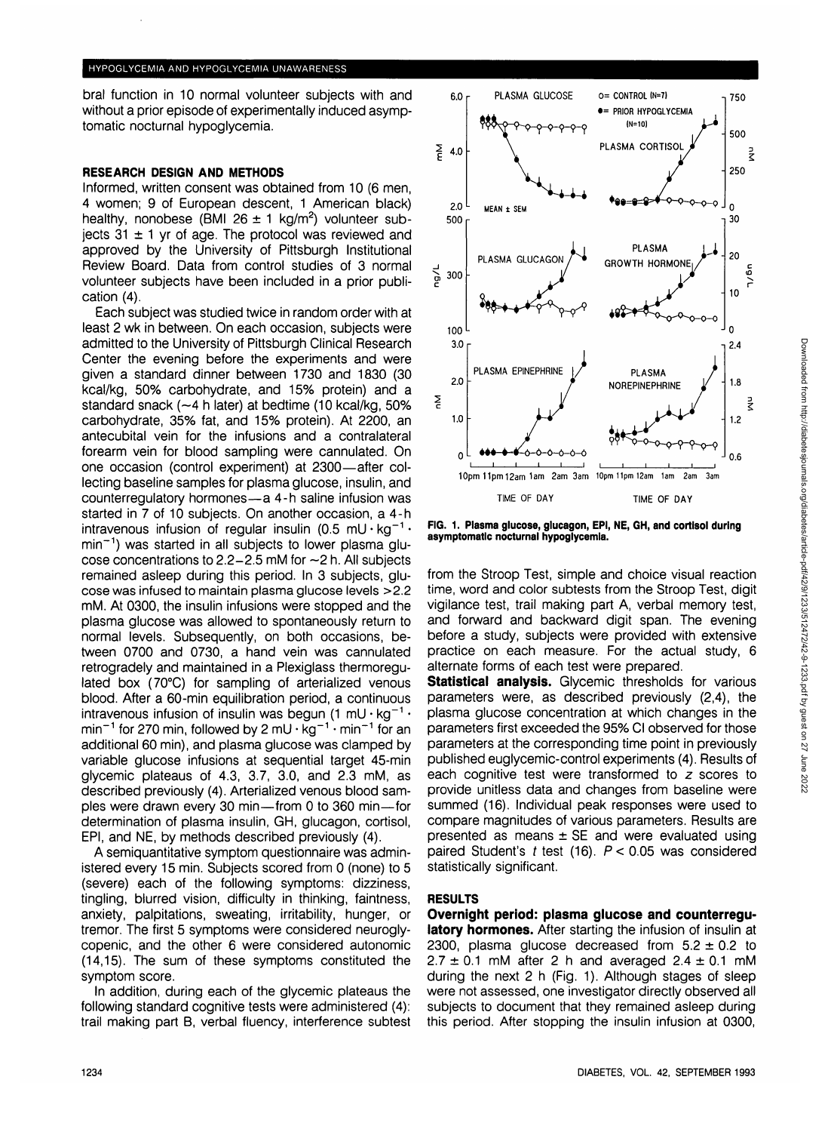#### HYPOGLYCEMIA AND HYPOGLYCEMIA UNAWARENESS

bral function in 10 normal volunteer subjects with and without a prior episode of experimentally induced asymptomatic nocturnal hypoglycemia.

# **RESEARCH DESIGN AND METHODS**

Informed, written consent was obtained from 10 (6 men, 4 women; 9 of European descent, 1 American black) healthy, nonobese (BMI 26  $\pm$  1 kg/m<sup>2</sup>) volunteer subjects  $31 \pm 1$  yr of age. The protocol was reviewed and approved by the University of Pittsburgh Institutional Review Board. Data from control studies of 3 normal volunteer subjects have been included in a prior publication (4).

Each subject was studied twice in random order with at least 2 wk in between. On each occasion, subjects were admitted to the University of Pittsburgh Clinical Research Center the evening before the experiments and were given a standard dinner between 1730 and 1830 (30 kcal/kg, 50% carbohydrate, and 15% protein) and a standard snack (~4 h later) at bedtime (10 kcal/kg, 50% carbohydrate, 35% fat, and 15% protein). At 2200, an antecubital vein for the infusions and a contralateral forearm vein for blood sampling were cannulated. On one occasion (control experiment) at 2300—after collecting baseline samples for plasma glucose, insulin, and counterregulatory hormones—a 4-h saline infusion was started in 7 of 10 subjects. On another occasion, a 4-h intravenous infusion of regular insulin (0.5 mU $\cdot$ kg<sup>-1</sup> $\cdot$ min<sup>-1</sup>) was started in all subjects to lower plasma glucose concentrations to 2.2-2.5 mM for ~2 h. All subjects remained asleep during this period. In 3 subjects, glucose was infused to maintain plasma glucose levels >2.2 mM. At 0300, the insulin infusions were stopped and the plasma glucose was allowed to spontaneously return to normal levels. Subsequently, on both occasions, between 0700 and 0730, a hand vein was cannulated retrogradely and maintained in a Plexiglass thermoregulated box (70°C) for sampling of arterialized venous blood. After a 60-min equilibration period, a continuous intravenous infusion of insulin was begun  $(1 \text{ mU} \cdot \text{kg}^{-1} \cdot$ min<sup>-1</sup> for 270 min, followed by 2 mU  $\cdot$  kg<sup>-1</sup>  $\cdot$  min<sup>-1</sup> for an additional 60 min), and plasma glucose was clamped by variable glucose infusions at sequential target 45-min glycemic plateaus of 4.3, 3.7, 3.0, and 2.3 mM, as described previously (4). Arterialized venous blood samples were drawn every 30 min—from 0 to 360 min—for determination of plasma insulin, GH, glucagon, cortisol, EPI, and NE, by methods described previously (4).

A semiquantitative symptom questionnaire was administered every 15 min. Subjects scored from 0 (none) to 5 (severe) each of the following symptoms: dizziness, tingling, blurred vision, difficulty in thinking, faintness, anxiety, palpitations, sweating, irritability, hunger, or tremor. The first 5 symptoms were considered neuroglycopenic, and the other 6 were considered autonomic (14,15). The sum of these symptoms constituted the symptom score.

In addition, during each of the glycemic plateaus the following standard cognitive tests were administered (4): trail making part B, verbal fluency, interference subtest



**FIG. 1. Plasma glucose, glucagon, EPI, NE, GH, and cortisol during asymptomatic nocturnal hypoglycemia.**

from the Stroop Test, simple and choice visual reaction time, word and color subtests from the Stroop Test, digit vigilance test, trail making part A, verbal memory test, and forward and backward digit span. The evening before a study, subjects were provided with extensive practice on each measure. For the actual study, 6 alternate forms of each test were prepared.

**Statistical analysis.** Glycemic thresholds for various parameters were, as described previously (2,4), the plasma glucose concentration at which changes in the parameters first exceeded the 95% Cl observed for those parameters at the corresponding time point in previously published euglycemic-control experiments (4). Results of each cognitive test were transformed to z scores to provide unitless data and changes from baseline were summed (16). Individual peak responses were used to compare magnitudes of various parameters. Results are presented as means  $\pm$  SE and were evaluated using paired Student's  $t$  test (16).  $P < 0.05$  was considered statistically significant.

# **RESULTS**

**Overnight period: plasma glucose and counterregulatory hormones.** After starting the infusion of insulin at 2300, plasma glucose decreased from  $5.2 \pm 0.2$  to  $2.7 \pm 0.1$  mM after 2 h and averaged  $2.4 \pm 0.1$  mM during the next 2 h (Fig. 1). Although stages of sleep were not assessed, one investigator directly observed all subjects to document that they remained asleep during this period. After stopping the insulin infusion at 0300,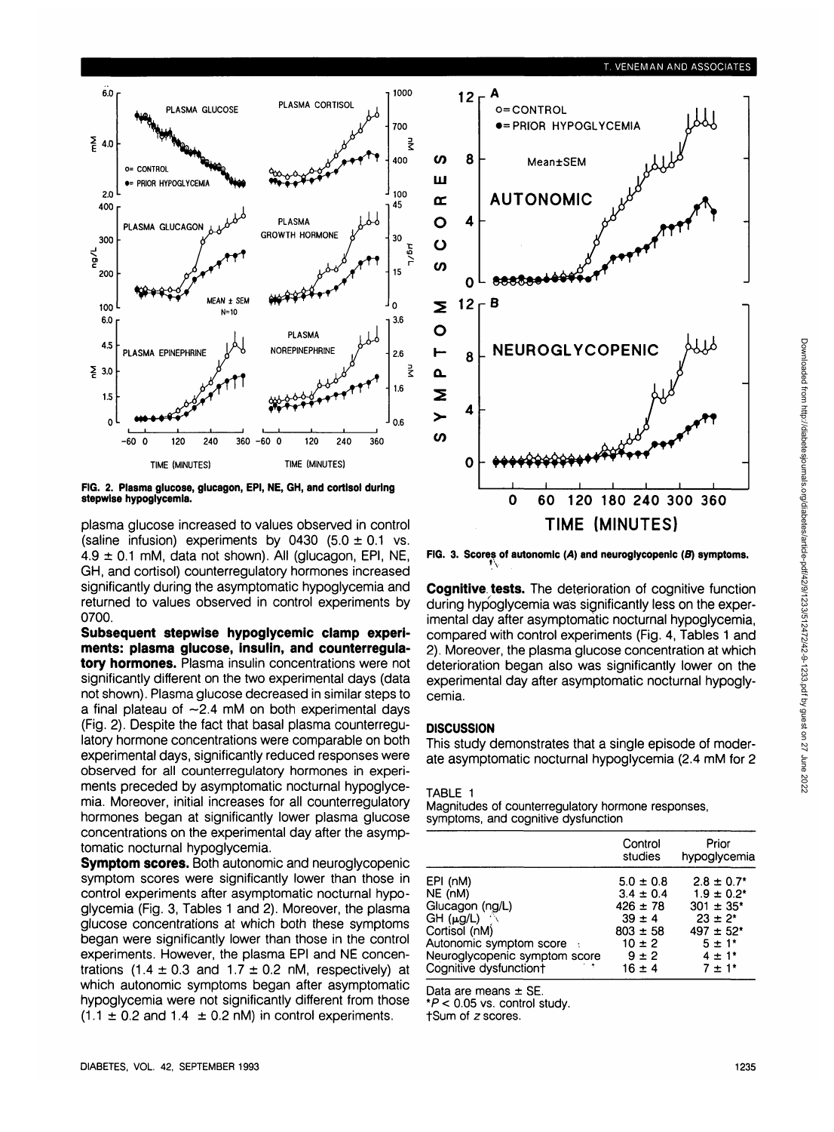

**FIG. 2. Plasma glucose, glucagon, EPI, NE, GH, and cortisol during stepwlse hypoglycemia.**

plasma glucose increased to values observed in control (saline infusion) experiments by 0430  $(5.0 \pm 0.1 \text{ vs.})$  $4.9 \pm 0.1$  mM, data not shown). All (glucagon, EPI, NE, GH, and cortisol) counterregulatory hormones increased significantly during the asymptomatic hypoglycemia and returned to values observed in control experiments by 0700.

**Subsequent stepwise hypoglycemic clamp experiments: plasma glucose, insulin, and counterregulatory hormones.** Plasma insulin concentrations were not significantly different on the two experimental days (data not shown). Plasma glucose decreased in similar steps to a final plateau of  $-2.4$  mM on both experimental days (Fig. 2). Despite the fact that basal plasma counterregulatory hormone concentrations were comparable on both experimental days, significantly reduced responses were observed for all counterregulatory hormones in experiments preceded by asymptomatic nocturnal hypoglycemia. Moreover, initial increases for all counterregulatory hormones began at significantly lower plasma glucose concentrations on the experimental day after the asymptomatic nocturnal hypoglycemia.

**Symptom scores.** Both autonomic and neuroglycopenic symptom scores were significantly lower than those in control experiments after asymptomatic nocturnal hypoglycemia (Fig. 3, Tables 1 and 2). Moreover, the plasma glucose concentrations at which both these symptoms began were significantly lower than those in the control experiments. However, the plasma EPI and NE concentrations (1.4  $\pm$  0.3 and 1.7  $\pm$  0.2 nM, respectively) at which autonomic symptoms began after asymptomatic hypoglycemia were not significantly different from those  $(1.1 \pm 0.2$  and  $1.4 \pm 0.2$  nM) in control experiments.



**FIG. 3. Scores of autonomic {A) and neuroglycopenic (B) symptoms.**

**Cognitive tests.** The deterioration of cognitive function during hypoglycemia was significantly less on the experimental day after asymptomatic nocturnal hypoglycemia, compared with control experiments (Fig. 4, Tables 1 and 2). Moreover, the plasma glucose concentration at which deterioration began also was significantly lower on the experimental day after asymptomatic nocturnal hypoglycemia.

### **DISCUSSION**

This study demonstrates that a single episode of moderate asymptomatic nocturnal hypoglycemia (2.4 mM for 2

#### TABLE 1

Magnitudes of counterregulatory hormone responses, symptoms, and cognitive dysfunction

|                                                                                                                                                                             | Control<br>studies                                                                                                    | Prior<br>hypoglycemia                                                                                                                                               |
|-----------------------------------------------------------------------------------------------------------------------------------------------------------------------------|-----------------------------------------------------------------------------------------------------------------------|---------------------------------------------------------------------------------------------------------------------------------------------------------------------|
| EPI (nM)<br>NE (nM)<br>Glucagon (ng/L)<br>$GH$ ( $\mu$ g/L)<br>Cortisol (nM)<br>Autonomic symptom score :<br>Neuroglycopenic symptom score<br>Cognitive dysfunction†<br>- 6 | $5.0 \pm 0.8$<br>$3.4 \pm 0.4$<br>$426 \pm 78$<br>$39 \pm 4$<br>$803 \pm 58$<br>$10 \pm 2$<br>$9 \pm 2$<br>$16 \pm 4$ | $2.8 \pm 0.7$ <sup>*</sup><br>$1.9 \pm 0.2^*$<br>$301 \pm 35$ <sup>*</sup><br>$23 \pm 2^*$<br>$497 \pm 52$ *<br>$5 \pm 1^*$<br>$4 \pm 1$ <sup>*</sup><br>$7 \pm 1*$ |

Data are means  $\pm$  SE.

 $*P < 0.05$  vs. control study.

tSum of z scores.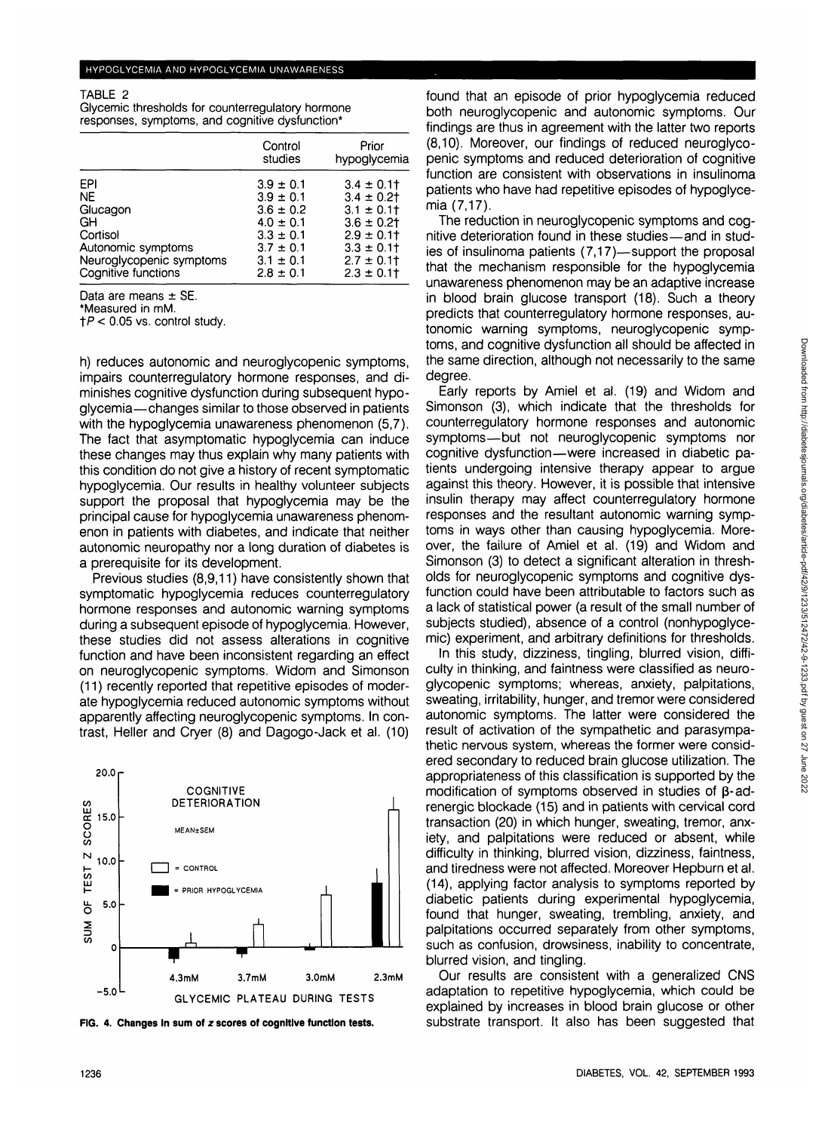TABLE 2

Glycemic thresholds for counterregulatory hormone responses, symptoms, and cognitive dysfunction\*

|                          | Control<br>studies | Prior<br>hypoglycemia |
|--------------------------|--------------------|-----------------------|
| EPI                      | $3.9 \pm 0.1$      | $3.4 \pm 0.1$         |
| NE.                      | $3.9 \pm 0.1$      | $3.4 \pm 0.2$         |
| Glucagon                 | $3.6 \pm 0.2$      | $3.1 \pm 0.11$        |
| GH                       | $4.0 \pm 0.1$      | $3.6 \pm 0.2$         |
| Cortisol                 | $3.3 \pm 0.1$      | $2.9 \pm 0.1$         |
| Autonomic symptoms       | $3.7 \pm 0.1$      | $3.3 \pm 0.11$        |
| Neuroglycopenic symptoms | $3.1 \pm 0.1$      | $2.7 \pm 0.1$         |
| Cognitive functions      | $2.8 \pm 0.1$      | $2.3 \pm 0.11$        |

Data are means  $\pm$  SE.<br>\*Measured in mM.<br> $\pm P < 0.05$  vs. control study.

h) reduces autonomic and neuroglycopenic symptoms, impairs counterregulatory hormone responses, and diminishes cognitive dysfunction during subsequent hypoglycemia—changes similar to those observed in patients with the hypoglycemia unawareness phenomenon (5,7). The fact that asymptomatic hypoglycemia can induce these changes may thus explain why many patients with this condition do not give a history of recent symptomatic hypoglycemia. Our results in healthy volunteer subjects support the proposal that hypoglycemia may be the principal cause for hypoglycemia unawareness phenomenon in patients with diabetes, and indicate that neither autonomic neuropathy nor a long duration of diabetes is a prerequisite for its development.

Previous studies (8,9,11) have consistently shown that symptomatic hypoglycemia reduces counterregulatory hormone responses and autonomic warning symptoms during a subsequent episode of hypoglycemia. However, these studies did not assess alterations in cognitive function and have been inconsistent regarding an effect on neuroglycopenic symptoms. Widom and Simonson (11) recently reported that repetitive episodes of moderate hypoglycemia reduced autonomic symptoms without apparently affecting neuroglycopenic symptoms. In contrast, Heller and Cryer (8) and Dagogo-Jack et al. (10)



**FIG. 4. Changes in sum of z scores of cognitive function tests.**

found that an episode of prior hypoglycemia reduced both neuroglycopenic and autonomic symptoms. Our findings are thus in agreement with the latter two reports (8,10). Moreover, our findings of reduced neuroglycopenic symptoms and reduced deterioration of cognitive function are consistent with observations in insulinoma patients who have had repetitive episodes of hypoglycemia (7,17).

The reduction in neuroglycopenic symptoms and cognitive deterioration found in these studies—and in studies of insulinoma patients (7,17)—support the proposal that the mechanism responsible for the hypoglycemia unawareness phenomenon may be an adaptive increase in blood brain glucose transport (18). Such a theory predicts that counterregulatory hormone responses, autonomic warning symptoms, neuroglycopenic symptoms, and cognitive dysfunction all should be affected in the same direction, although not necessarily to the same degree.

Early reports by Amiel et al. (19) and Widom and Simonson (3), which indicate that the thresholds for counterregulatory hormone responses and autonomic symptoms—but not neuroglycopenic symptoms nor cognitive dysfunction—were increased in diabetic patients undergoing intensive therapy appear to argue against this theory. However, it is possible that intensive insulin therapy may affect counterregulatory hormone responses and the resultant autonomic warning symptoms in ways other than causing hypoglycemia. Moreover, the failure of Amiel et al. (19) and Widom and Simonson (3) to detect a significant alteration in thresholds for neuroglycopenic symptoms and cognitive dysfunction could have been attributable to factors such as a lack of statistical power (a result of the small number of subjects studied), absence of a control (nonhypoglycemic) experiment, and arbitrary definitions for thresholds.

In this study, dizziness, tingling, blurred vision, difficulty in thinking, and faintness were classified as neuroglycopenic symptoms; whereas, anxiety, palpitations, sweating, irritability, hunger, and tremor were considered autonomic symptoms. The latter were considered the result of activation of the sympathetic and parasympathetic nervous system, whereas the former were considered secondary to reduced brain glucose utilization. The appropriateness of this classification is supported by the modification of symptoms observed in studies of  $\beta$ -adrenergic blockade (15) and in patients with cervical cord transaction (20) in which hunger, sweating, tremor, anxiety, and palpitations were reduced or absent, while difficulty in thinking, blurred vision, dizziness, faintness, and tiredness were not affected. Moreover Hepburn et al. (14), applying factor analysis to symptoms reported by diabetic patients during experimental hypoglycemia, found that hunger, sweating, trembling, anxiety, and palpitations occurred separately from other symptoms, such as confusion, drowsiness, inability to concentrate, blurred vision, and tingling.

Our results are consistent with a generalized CNS adaptation to repetitive hypoglycemia, which could be explained by increases in blood brain glucose or other substrate transport. It also has been suggested that